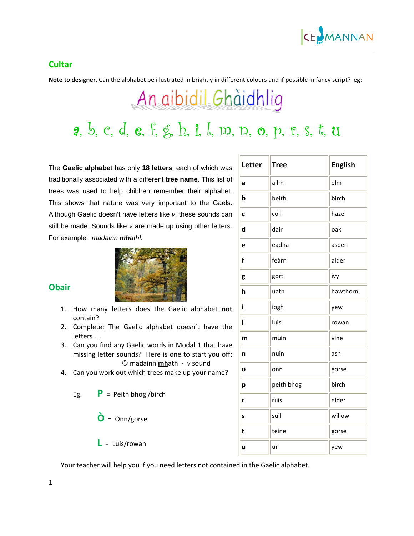

#### **Cultar**

**Obair**

**Note to designer.** Can the alphabet be illustrated in brightly in different colours and if possible in fancy script? eg:

# An aibidil Ghàidhlig

## a, b, c, d, e, f, g, h, i, l, m, n, o, p, r, s, t, u

The **Gaelic alphabe**t has only **18 letters**, each of which was traditionally associated with a different **tree name**. This list of trees was used to help children remember their alphabet. This shows that nature was very important to the Gaels. Although Gaelic doesn't have letters like *v*, these sounds can still be made. Sounds like *v* are made up using other letters. For example: *madainn mhath!.*



- 1. How many letters does the Gaelic alphabet **not** contain?
- 2. Complete: The Gaelic alphabet doesn't have the letters ....
- 3. Can you find any Gaelic words in Modal 1 that have missing letter sounds? Here is one to start you off: c madainn **mh**ath ‐ *v* sound
- 4. Can you work out which trees make up your name?
	- Eg.  $P = Peith bhog/birch$ 
		- **Ò** <sup>=</sup> Onn/gorse
		- $\mathsf{L}$  = Luis/rowan

Your teacher will help you if you need letters not contained in the Gaelic alphabet.

| Letter       | <b>Tree</b> | <b>English</b> |
|--------------|-------------|----------------|
| a            | ailm        | elm            |
| b            | beith       | birch          |
| C            | coll        | hazel          |
| $\mathsf{d}$ | dair        | oak            |
| e            | eadha       | aspen          |
| f            | feàrn       | alder          |
| g            | gort        | ivy            |
| h            | uath        | hawthorn       |
| i            | iogh        | yew            |
| Ī            | luis        | rowan          |
| m            | muin        | vine           |
| n            | nuin        | ash            |
| $\mathbf{o}$ | onn         | gorse          |
| p            | peith bhog  | birch          |
| r            | ruis        | elder          |
| S            | suil        | willow         |
| t            | teine       | gorse          |
| ū            | ur          | yew            |